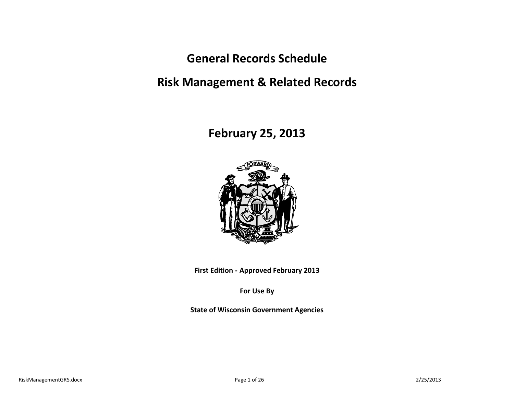**General Records Schedule**

**Risk Management & Related Records**

**February 25, 2013**



**First Edition - Approved February 2013**

**For Use By**

**State of Wisconsin Government Agencies**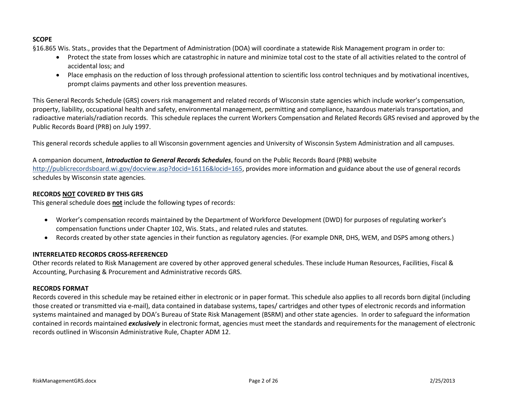# **SCOPE**

§16.865 Wis. Stats., provides that the Department of Administration (DOA) will coordinate a statewide Risk Management program in order to:

- Protect the state from losses which are catastrophic in nature and minimize total cost to the state of all activities related to the control of accidental loss; and
- Place emphasis on the reduction of loss through professional attention to scientific loss control techniques and by motivational incentives, prompt claims payments and other loss prevention measures.

This General Records Schedule (GRS) covers risk management and related records of Wisconsin state agencies which include worker's compensation, property, liability, occupational health and safety, environmental management, permitting and compliance, hazardous materials transportation, and radioactive materials/radiation records. This schedule replaces the current Workers Compensation and Related Records GRS revised and approved by the Public Records Board (PRB) on July 1997.

This general records schedule applies to all Wisconsin government agencies and University of Wisconsin System Administration and all campuses.

A companion document, *Introduction to General Records Schedules*, found on the Public Records Board (PRB) website [http://publicrecordsboard.wi.gov/docview.asp?docid=16116&locid=165,](http://publicrecordsboard.wi.gov/docview.asp?docid=16116&locid=165) provides more information and guidance about the use of general records schedules by Wisconsin state agencies.

# **RECORDS NOT COVERED BY THIS GRS**

This general schedule does **not** include the following types of records:

- Worker's compensation records maintained by the Department of Workforce Development (DWD) for purposes of regulating worker's compensation functions under Chapter 102, Wis. Stats., and related rules and statutes.
- Records created by other state agencies in their function as regulatory agencies. (For example DNR, DHS, WEM, and DSPS among others.)

# **INTERRELATED RECORDS CROSS-REFERENCED**

Other records related to Risk Management are covered by other approved general schedules. These include Human Resources, Facilities, Fiscal & Accounting, Purchasing & Procurement and Administrative records GRS.

# **RECORDS FORMAT**

Records covered in this schedule may be retained either in electronic or in paper format. This schedule also applies to all records born digital (including those created or transmitted via e-mail), data contained in database systems, tapes/ cartridges and other types of electronic records and information systems maintained and managed by DOA's Bureau of State Risk Management (BSRM) and other state agencies. In order to safeguard the information contained in records maintained *exclusively* in electronic format, agencies must meet the standards and requirements for the management of electronic records outlined in Wisconsin Administrative Rule, Chapter ADM 12.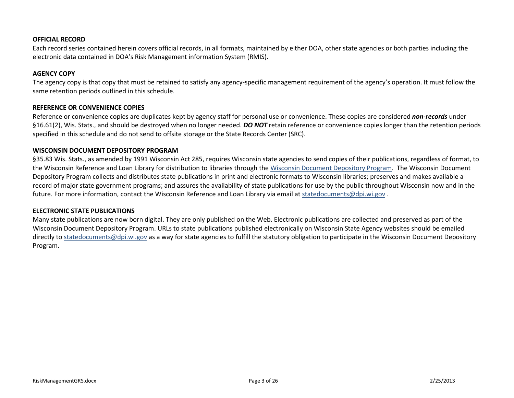#### **OFFICIAL RECORD**

Each record series contained herein covers official records, in all formats, maintained by either DOA, other state agencies or both parties including the electronic data contained in DOA's Risk Management information System (RMIS).

#### **AGENCY COPY**

The agency copy is that copy that must be retained to satisfy any agency-specific management requirement of the agency's operation. It must follow the same retention periods outlined in this schedule.

## **REFERENCE OR CONVENIENCE COPIES**

Reference or convenience copies are duplicates kept by agency staff for personal use or convenience. These copies are considered *non-records* under §16.61(2), Wis. Stats., and should be destroyed when no longer needed. *DO NOT* retain reference or convenience copies longer than the retention periods specified in this schedule and do not send to offsite storage or the State Records Center (SRC).

#### **WISCONSIN DOCUMENT DEPOSITORY PROGRAM**

§35.83 Wis. Stats., as amended by 1991 Wisconsin Act 285, requires Wisconsin state agencies to send copies of their publications, regardless of format, to the Wisconsin Reference and Loan Library for distribution to libraries through th[e Wisconsin Document Depository Program.](http://rl3.dpi.wi.gov/docdepo) The Wisconsin Document Depository Program collects and distributes state publications in print and electronic formats to Wisconsin libraries; preserves and makes available a record of major state government programs; and assures the availability of state publications for use by the public throughout Wisconsin now and in the future. For more information, contact the Wisconsin Reference and Loan Library via email at [statedocuments@dpi.wi.gov](mailto:statedocuments@dpi.wi.gov)

#### **ELECTRONIC STATE PUBLICATIONS**

Many state publications are now born digital. They are only published on the Web. Electronic publications are collected and preserved as part of the Wisconsin Document Depository Program. URLs to state publications published electronically on Wisconsin State Agency websites should be emailed directly to [statedocuments@dpi.wi.gov](mailto:statedocuments@dpi.wi.gov) as a way for state agencies to fulfill the statutory obligation to participate in the Wisconsin Document Depository Program.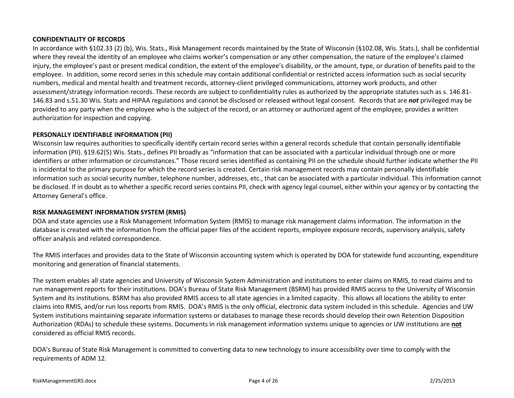# **CONFIDENTIALITY OF RECORDS**

In accordance with §102.33 (2) (b), Wis. Stats., Risk Management records maintained by the State of Wisconsin (§102.08, Wis. Stats.), shall be confidential where they reveal the identity of an employee who claims worker's compensation or any other compensation, the nature of the employee's claimed injury, the employee's past or present medical condition, the extent of the employee's disability, or the amount, type, or duration of benefits paid to the employee. In addition, some record series in this schedule may contain additional confidential or restricted access information such as social security numbers, medical and mental health and treatment records, attorney-client privileged communications, attorney work products, and other assessment/strategy information records. These records are subject to confidentiality rules as authorized by the appropriate statutes such as s. 146.81- 146.83 and s.51.30 Wis. Stats and HIPAA regulations and cannot be disclosed or released without legal consent. Records that are *not* privileged may be provided to any party when the employee who is the subject of the record, or an attorney or authorized agent of the employee, provides a written authorization for inspection and copying.

## **PERSONALLY IDENTIFIABLE INFORMATION (PII)**

Wisconsin law requires authorities to specifically identify certain record series within a general records schedule that contain personally identifiable information (PII). §19.62(5) Wis. Stats., defines PII broadly as "information that can be associated with a particular individual through one or more identifiers or other information or circumstances." Those record series identified as containing PII on the schedule should further indicate whether the PII is incidental to the primary purpose for which the record series is created. Certain risk management records may contain personally identifiable information such as social security number, telephone number, addresses, etc., that can be associated with a particular individual. This information cannot be disclosed. If in doubt as to whether a specific record series contains PII, check with agency legal counsel, either within your agency or by contacting the Attorney General's office.

# **RISK MANAGEMENT INFORMATION SYSTEM (RMIS)**

DOA and state agencies use a Risk Management Information System (RMIS) to manage risk management claims information. The information in the database is created with the information from the official paper files of the accident reports, employee exposure records, supervisory analysis, safety officer analysis and related correspondence.

The RMIS interfaces and provides data to the State of Wisconsin accounting system which is operated by DOA for statewide fund accounting, expenditure monitoring and generation of financial statements.

The system enables all state agencies and University of Wisconsin System Administration and institutions to enter claims on RMIS, to read claims and to run management reports for their institutions. DOA's Bureau of State Risk Management (BSRM) has provided RMIS access to the University of Wisconsin System and its institutions. BSRM has also provided RMIS access to all state agencies in a limited capacity. This allows all locations the ability to enter claims into RMIS, and/or run loss reports from RMIS. DOA's RMIS is the only official, electronic data system included in this schedule. Agencies and UW System institutions maintaining separate information systems or databases to manage these records should develop their own Retention Disposition Authorization (RDAs) to schedule these systems. Documents in risk management information systems unique to agencies or UW institutions are **not** considered as official RMIS records.

DOA's Bureau of State Risk Management is committed to converting data to new technology to insure accessibility over time to comply with the requirements of ADM 12.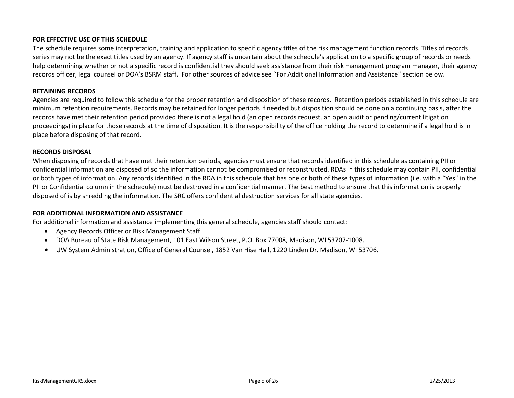## **FOR EFFECTIVE USE OF THIS SCHEDULE**

The schedule requires some interpretation, training and application to specific agency titles of the risk management function records. Titles of records series may not be the exact titles used by an agency. If agency staff is uncertain about the schedule's application to a specific group of records or needs help determining whether or not a specific record is confidential they should seek assistance from their risk management program manager, their agency records officer, legal counsel or DOA's BSRM staff. For other sources of advice see "For Additional Information and Assistance" section below.

#### **RETAINING RECORDS**

Agencies are required to follow this schedule for the proper retention and disposition of these records. Retention periods established in this schedule are minimum retention requirements. Records may be retained for longer periods if needed but disposition should be done on a continuing basis, after the records have met their retention period provided there is not a legal hold (an open records request, an open audit or pending/current litigation proceedings) in place for those records at the time of disposition. It is the responsibility of the office holding the record to determine if a legal hold is in place before disposing of that record.

## **RECORDS DISPOSAL**

When disposing of records that have met their retention periods, agencies must ensure that records identified in this schedule as containing PII or confidential information are disposed of so the information cannot be compromised or reconstructed. RDAs in this schedule may contain PII, confidential or both types of information. Any records identified in the RDA in this schedule that has one or both of these types of information (i.e. with a "Yes" in the PII or Confidential column in the schedule) must be destroyed in a confidential manner. The best method to ensure that this information is properly disposed of is by shredding the information. The SRC offers confidential destruction services for all state agencies.

# **FOR ADDITIONAL INFORMATION AND ASSISTANCE**

For additional information and assistance implementing this general schedule, agencies staff should contact:

- Agency Records Officer or Risk Management Staff
- DOA Bureau of State Risk Management, 101 East Wilson Street, P.O. Box 77008, Madison, WI 53707-1008.
- UW System Administration, Office of General Counsel, 1852 Van Hise Hall, 1220 Linden Dr. Madison, WI 53706.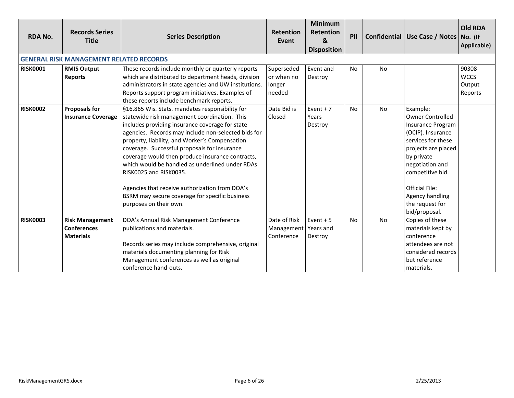| <b>RDA No.</b>  | <b>Records Series</b><br><b>Title</b>                            | <b>Series Description</b>                                                                                                                                                                                                                                                                                                                                                                                                                                                                                                                                                  | <b>Retention</b><br>Event                          | <b>Minimum</b><br><b>Retention</b><br>$\mathbf{g}$<br><b>Disposition</b> | PII       |           | Confidential   Use Case / Notes   No. (If                                                                                                                                                                                                                       | Old RDA<br>Applicable)                    |
|-----------------|------------------------------------------------------------------|----------------------------------------------------------------------------------------------------------------------------------------------------------------------------------------------------------------------------------------------------------------------------------------------------------------------------------------------------------------------------------------------------------------------------------------------------------------------------------------------------------------------------------------------------------------------------|----------------------------------------------------|--------------------------------------------------------------------------|-----------|-----------|-----------------------------------------------------------------------------------------------------------------------------------------------------------------------------------------------------------------------------------------------------------------|-------------------------------------------|
|                 | <b>GENERAL RISK MANAGEMENT RELATED RECORDS</b>                   |                                                                                                                                                                                                                                                                                                                                                                                                                                                                                                                                                                            |                                                    |                                                                          |           |           |                                                                                                                                                                                                                                                                 |                                           |
| <b>RISK0001</b> | <b>RMIS Output</b><br><b>Reports</b>                             | These records include monthly or quarterly reports<br>which are distributed to department heads, division<br>administrators in state agencies and UW institutions.<br>Reports support program initiatives. Examples of<br>these reports include benchmark reports.                                                                                                                                                                                                                                                                                                         | Superseded<br>or when no<br>longer<br>needed       | Event and<br>Destroy                                                     | <b>No</b> | No        |                                                                                                                                                                                                                                                                 | 90308<br><b>WCCS</b><br>Output<br>Reports |
| <b>RISK0002</b> | <b>Proposals for</b><br><b>Insurance Coverage</b>                | §16.865 Wis. Stats. mandates responsibility for<br>statewide risk management coordination. This<br>includes providing insurance coverage for state<br>agencies. Records may include non-selected bids for<br>property, liability, and Worker's Compensation<br>coverage. Successful proposals for insurance<br>coverage would then produce insurance contracts,<br>which would be handled as underlined under RDAs<br>RISK0025 and RISK0035.<br>Agencies that receive authorization from DOA's<br>BSRM may secure coverage for specific business<br>purposes on their own. | Date Bid is<br>Closed                              | Event $+7$<br>Years<br>Destroy                                           | <b>No</b> | No        | Example:<br><b>Owner Controlled</b><br><b>Insurance Program</b><br>(OCIP). Insurance<br>services for these<br>projects are placed<br>by private<br>negotiation and<br>competitive bid.<br>Official File:<br>Agency handling<br>the request for<br>bid/proposal. |                                           |
| <b>RISK0003</b> | <b>Risk Management</b><br><b>Conferences</b><br><b>Materials</b> | DOA's Annual Risk Management Conference<br>publications and materials.<br>Records series may include comprehensive, original<br>materials documenting planning for Risk<br>Management conferences as well as original<br>conference hand-outs.                                                                                                                                                                                                                                                                                                                             | Date of Risk<br>Management Years and<br>Conference | Event $+5$<br>Destroy                                                    | <b>No</b> | <b>No</b> | Copies of these<br>materials kept by<br>conference<br>attendees are not<br>considered records<br>but reference<br>materials.                                                                                                                                    |                                           |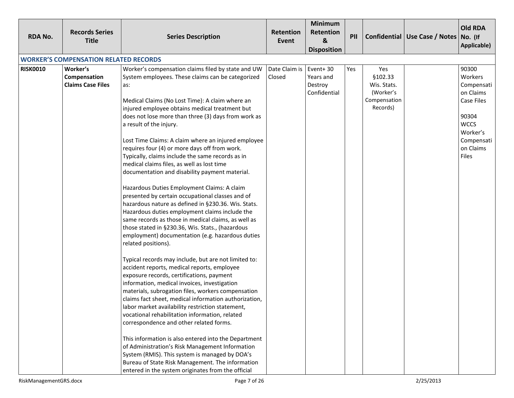| <b>RDA No.</b>  | <b>Records Series</b><br><b>Title</b>                | <b>Series Description</b>                                                                                                                                                                                                                                                                                                                                                                                                                                                                                                                                                                                                                                                                                                                                                                                                                                                                                                                                                                                                                                                                                                                                                                                                                                                                                                                                                                                                                                                                                                                                                                                                                                                                                      | <b>Retention</b><br>Event | <b>Minimum</b><br>Retention<br>&<br><b>Disposition</b> | PII |                                                                        | Confidential Use Case / Notes No. (If | <b>Old RDA</b><br>Applicable)                                                                                                            |
|-----------------|------------------------------------------------------|----------------------------------------------------------------------------------------------------------------------------------------------------------------------------------------------------------------------------------------------------------------------------------------------------------------------------------------------------------------------------------------------------------------------------------------------------------------------------------------------------------------------------------------------------------------------------------------------------------------------------------------------------------------------------------------------------------------------------------------------------------------------------------------------------------------------------------------------------------------------------------------------------------------------------------------------------------------------------------------------------------------------------------------------------------------------------------------------------------------------------------------------------------------------------------------------------------------------------------------------------------------------------------------------------------------------------------------------------------------------------------------------------------------------------------------------------------------------------------------------------------------------------------------------------------------------------------------------------------------------------------------------------------------------------------------------------------------|---------------------------|--------------------------------------------------------|-----|------------------------------------------------------------------------|---------------------------------------|------------------------------------------------------------------------------------------------------------------------------------------|
|                 | <b>WORKER'S COMPENSATION RELATED RECORDS</b>         |                                                                                                                                                                                                                                                                                                                                                                                                                                                                                                                                                                                                                                                                                                                                                                                                                                                                                                                                                                                                                                                                                                                                                                                                                                                                                                                                                                                                                                                                                                                                                                                                                                                                                                                |                           |                                                        |     |                                                                        |                                       |                                                                                                                                          |
| <b>RISK0010</b> | Worker's<br>Compensation<br><b>Claims Case Files</b> | Worker's compensation claims filed by state and UW<br>System employees. These claims can be categorized<br>as:<br>Medical Claims (No Lost Time): A claim where an<br>injured employee obtains medical treatment but<br>does not lose more than three (3) days from work as<br>a result of the injury.<br>Lost Time Claims: A claim where an injured employee<br>requires four (4) or more days off from work.<br>Typically, claims include the same records as in<br>medical claims files, as well as lost time<br>documentation and disability payment material.<br>Hazardous Duties Employment Claims: A claim<br>presented by certain occupational classes and of<br>hazardous nature as defined in §230.36. Wis. Stats.<br>Hazardous duties employment claims include the<br>same records as those in medical claims, as well as<br>those stated in §230.36, Wis. Stats., (hazardous<br>employment) documentation (e.g. hazardous duties<br>related positions).<br>Typical records may include, but are not limited to:<br>accident reports, medical reports, employee<br>exposure records, certifications, payment<br>information, medical invoices, investigation<br>materials, subrogation files, workers compensation<br>claims fact sheet, medical information authorization,<br>labor market availability restriction statement,<br>vocational rehabilitation information, related<br>correspondence and other related forms.<br>This information is also entered into the Department<br>of Administration's Risk Management Information<br>System (RMIS). This system is managed by DOA's<br>Bureau of State Risk Management. The information<br>entered in the system originates from the official | Date Claim is<br>Closed   | Event+30<br>Years and<br>Destroy<br>Confidential       | Yes | Yes<br>§102.33<br>Wis. Stats.<br>(Worker's<br>Compensation<br>Records) |                                       | 90300<br>Workers<br>Compensati<br>on Claims<br>Case Files<br>90304<br><b>WCCS</b><br>Worker's<br>Compensati<br>on Claims<br><b>Files</b> |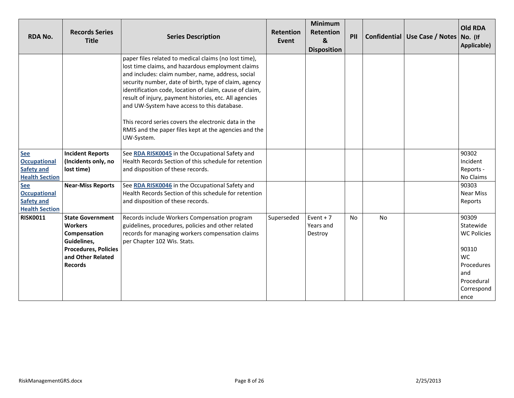| <b>RDA No.</b>                                                                  | <b>Records Series</b><br><b>Title</b>                                                                                                          | <b>Series Description</b>                                                                                                                                                                                                                                                                                                                                                                                                                                                                                                   | <b>Retention</b><br>Event | <b>Minimum</b><br><b>Retention</b><br>&<br><b>Disposition</b> | PII       |    | Confidential Use Case / Notes No. (If | <b>Old RDA</b><br>Applicable)                                                                                           |
|---------------------------------------------------------------------------------|------------------------------------------------------------------------------------------------------------------------------------------------|-----------------------------------------------------------------------------------------------------------------------------------------------------------------------------------------------------------------------------------------------------------------------------------------------------------------------------------------------------------------------------------------------------------------------------------------------------------------------------------------------------------------------------|---------------------------|---------------------------------------------------------------|-----------|----|---------------------------------------|-------------------------------------------------------------------------------------------------------------------------|
|                                                                                 |                                                                                                                                                | paper files related to medical claims (no lost time),<br>lost time claims, and hazardous employment claims<br>and includes: claim number, name, address, social<br>security number, date of birth, type of claim, agency<br>identification code, location of claim, cause of claim,<br>result of injury, payment histories, etc. All agencies<br>and UW-System have access to this database.<br>This record series covers the electronic data in the<br>RMIS and the paper files kept at the agencies and the<br>UW-System. |                           |                                                               |           |    |                                       |                                                                                                                         |
| <b>See</b><br><b>Occupational</b><br><b>Safety and</b><br><b>Health Section</b> | <b>Incident Reports</b><br>(Incidents only, no<br>lost time)                                                                                   | See RDA RISK0045 in the Occupational Safety and<br>Health Records Section of this schedule for retention<br>and disposition of these records.                                                                                                                                                                                                                                                                                                                                                                               |                           |                                                               |           |    |                                       | 90302<br>Incident<br>Reports -<br>No Claims                                                                             |
| <b>See</b><br><b>Occupational</b><br><b>Safety and</b><br><b>Health Section</b> | <b>Near-Miss Reports</b>                                                                                                                       | See RDA RISK0046 in the Occupational Safety and<br>Health Records Section of this schedule for retention<br>and disposition of these records.                                                                                                                                                                                                                                                                                                                                                                               |                           |                                                               |           |    |                                       | 90303<br><b>Near Miss</b><br>Reports                                                                                    |
| <b>RISK0011</b>                                                                 | <b>State Government</b><br><b>Workers</b><br>Compensation<br>Guidelines,<br><b>Procedures, Policies</b><br>and Other Related<br><b>Records</b> | Records include Workers Compensation program<br>guidelines, procedures, policies and other related<br>records for managing workers compensation claims<br>per Chapter 102 Wis. Stats.                                                                                                                                                                                                                                                                                                                                       | Superseded                | Event $+7$<br>Years and<br>Destroy                            | <b>No</b> | No |                                       | 90309<br>Statewide<br><b>WC Policies</b><br>90310<br><b>WC</b><br>Procedures<br>and<br>Procedural<br>Correspond<br>ence |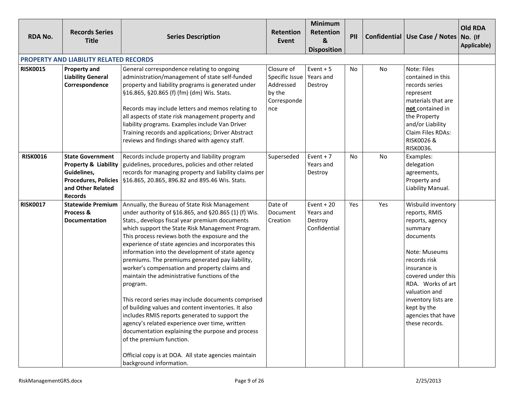| <b>RDA No.</b>  | <b>Records Series</b><br><b>Title</b>                                                                                                           | <b>Series Description</b>                                                                                                                                                                                                                                                                                                                                                                                                                                                                                                                                                                                                                                                                                                                                                                                                                                                                                                   | Retention<br>Event                                                                    | <b>Minimum</b><br>Retention<br>&<br><b>Disposition</b> | PII       |           | Confidential   Use Case / Notes   No. (If                                                                                                                                                                                                                                 | <b>Old RDA</b><br>Applicable) |
|-----------------|-------------------------------------------------------------------------------------------------------------------------------------------------|-----------------------------------------------------------------------------------------------------------------------------------------------------------------------------------------------------------------------------------------------------------------------------------------------------------------------------------------------------------------------------------------------------------------------------------------------------------------------------------------------------------------------------------------------------------------------------------------------------------------------------------------------------------------------------------------------------------------------------------------------------------------------------------------------------------------------------------------------------------------------------------------------------------------------------|---------------------------------------------------------------------------------------|--------------------------------------------------------|-----------|-----------|---------------------------------------------------------------------------------------------------------------------------------------------------------------------------------------------------------------------------------------------------------------------------|-------------------------------|
|                 | <b>PROPERTY AND LIABILITY RELATED RECORDS</b>                                                                                                   |                                                                                                                                                                                                                                                                                                                                                                                                                                                                                                                                                                                                                                                                                                                                                                                                                                                                                                                             |                                                                                       |                                                        |           |           |                                                                                                                                                                                                                                                                           |                               |
| <b>RISK0015</b> | <b>Property and</b><br><b>Liability General</b><br>Correspondence                                                                               | General correspondence relating to ongoing<br>administration/management of state self-funded<br>property and liability programs is generated under<br>§16.865, §20.865 (f) (fm) (dm) Wis. Stats.<br>Records may include letters and memos relating to<br>all aspects of state risk management property and<br>liability programs. Examples include Van Driver<br>Training records and applications; Driver Abstract<br>reviews and findings shared with agency staff.                                                                                                                                                                                                                                                                                                                                                                                                                                                       | Closure of<br>Specific Issue   Years and<br>Addressed<br>by the<br>Corresponde<br>nce | Event $+5$<br>Destroy                                  | <b>No</b> | No        | Note: Files<br>contained in this<br>records series<br>represent<br>materials that are<br>not contained in<br>the Property<br>and/or Liability<br>Claim Files RDAs:<br>RISK0026 &<br>RISK0036.                                                                             |                               |
| <b>RISK0016</b> | <b>State Government</b><br><b>Property &amp; Liability</b><br>Guidelines,<br><b>Procedures, Policies</b><br>and Other Related<br><b>Records</b> | Records include property and liability program<br>guidelines, procedures, policies and other related<br>records for managing property and liability claims per<br>§16.865, 20.865, 896.82 and 895.46 Wis. Stats.                                                                                                                                                                                                                                                                                                                                                                                                                                                                                                                                                                                                                                                                                                            | Superseded                                                                            | Event $+7$<br>Years and<br>Destroy                     | No        | <b>No</b> | Examples:<br>delegation<br>agreements,<br>Property and<br>Liability Manual.                                                                                                                                                                                               |                               |
| <b>RISK0017</b> | <b>Statewide Premium</b><br>Process &<br><b>Documentation</b>                                                                                   | Annually, the Bureau of State Risk Management<br>under authority of §16.865, and §20.865 (1) (f) Wis.<br>Stats., develops fiscal year premium documents<br>which support the State Risk Management Program.<br>This process reviews both the exposure and the<br>experience of state agencies and incorporates this<br>information into the development of state agency<br>premiums. The premiums generated pay liability,<br>worker's compensation and property claims and<br>maintain the administrative functions of the<br>program.<br>This record series may include documents comprised<br>of building values and content inventories. It also<br>includes RMIS reports generated to support the<br>agency's related experience over time, written<br>documentation explaining the purpose and process<br>of the premium function.<br>Official copy is at DOA. All state agencies maintain<br>background information. | Date of<br>Document<br>Creation                                                       | Event $+20$<br>Years and<br>Destroy<br>Confidential    | Yes       | Yes       | Wisbuild inventory<br>reports, RMIS<br>reports, agency<br>summary<br>documents<br>Note: Museums<br>records risk<br>insurance is<br>covered under this<br>RDA. Works of art<br>valuation and<br>inventory lists are<br>kept by the<br>agencies that have<br>these records. |                               |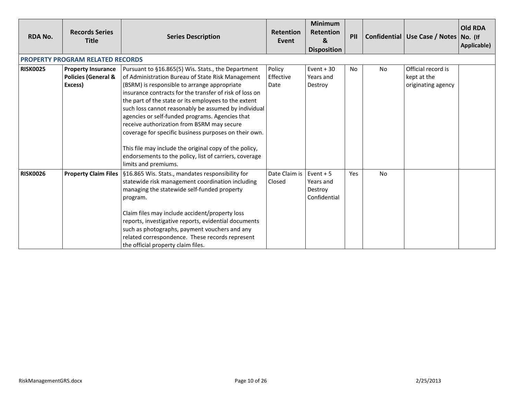| <b>RDA No.</b>  | <b>Records Series</b><br><b>Title</b>                                  | <b>Series Description</b>                                                                                                                                                                                                                                                                                                                                                                                                                                                                                                                                                                                                                | <b>Retention</b><br>Event   | <b>Minimum</b><br><b>Retention</b><br>&<br><b>Disposition</b> | PII |           | Confidential   Use Case / Notes   No. (If               | <b>Old RDA</b><br>Applicable) |
|-----------------|------------------------------------------------------------------------|------------------------------------------------------------------------------------------------------------------------------------------------------------------------------------------------------------------------------------------------------------------------------------------------------------------------------------------------------------------------------------------------------------------------------------------------------------------------------------------------------------------------------------------------------------------------------------------------------------------------------------------|-----------------------------|---------------------------------------------------------------|-----|-----------|---------------------------------------------------------|-------------------------------|
|                 | PROPERTY PROGRAM RELATED RECORDS                                       |                                                                                                                                                                                                                                                                                                                                                                                                                                                                                                                                                                                                                                          |                             |                                                               |     |           |                                                         |                               |
| <b>RISK0025</b> | <b>Property Insurance</b><br><b>Policies (General &amp;</b><br>Excess) | Pursuant to §16.865(5) Wis. Stats., the Department<br>of Administration Bureau of State Risk Management<br>(BSRM) is responsible to arrange appropriate<br>insurance contracts for the transfer of risk of loss on<br>the part of the state or its employees to the extent<br>such loss cannot reasonably be assumed by individual<br>agencies or self-funded programs. Agencies that<br>receive authorization from BSRM may secure<br>coverage for specific business purposes on their own.<br>This file may include the original copy of the policy,<br>endorsements to the policy, list of carriers, coverage<br>limits and premiums. | Policy<br>Effective<br>Date | Event $+30$<br>Years and<br>Destroy                           | No. | <b>No</b> | Official record is<br>kept at the<br>originating agency |                               |
| <b>RISK0026</b> | <b>Property Claim Files</b>                                            | §16.865 Wis. Stats., mandates responsibility for<br>statewide risk management coordination including<br>managing the statewide self-funded property<br>program.<br>Claim files may include accident/property loss<br>reports, investigative reports, evidential documents<br>such as photographs, payment vouchers and any<br>related correspondence. These records represent<br>the official property claim files.                                                                                                                                                                                                                      | Date Claim is<br>Closed     | Event $+5$<br>Years and<br>Destroy<br>Confidential            | Yes | <b>No</b> |                                                         |                               |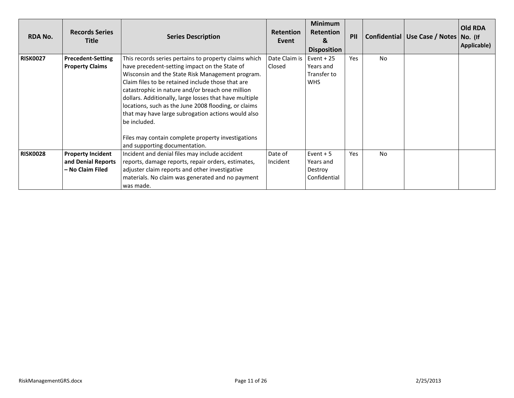| <b>RDA No.</b>  | <b>Records Series</b><br><b>Title</b>                              | <b>Series Description</b>                                                                                                                                                                                                                                                                                                                                                                                                                                                                                                                          | <b>Retention</b><br>Event | <b>Minimum</b><br><b>Retention</b><br>&<br><b>Disposition</b> | PII |           | Confidential   Use Case / Notes   No. (If | <b>Old RDA</b><br>Applicable) |
|-----------------|--------------------------------------------------------------------|----------------------------------------------------------------------------------------------------------------------------------------------------------------------------------------------------------------------------------------------------------------------------------------------------------------------------------------------------------------------------------------------------------------------------------------------------------------------------------------------------------------------------------------------------|---------------------------|---------------------------------------------------------------|-----|-----------|-------------------------------------------|-------------------------------|
| <b>RISK0027</b> | <b>Precedent-Setting</b><br><b>Property Claims</b>                 | This records series pertains to property claims which<br>have precedent-setting impact on the State of<br>Wisconsin and the State Risk Management program.<br>Claim files to be retained include those that are<br>catastrophic in nature and/or breach one million<br>dollars. Additionally, large losses that have multiple<br>locations, such as the June 2008 flooding, or claims<br>that may have large subrogation actions would also<br>be included.<br>Files may contain complete property investigations<br>and supporting documentation. | Date Claim is<br>Closed   | Event $+25$<br>Years and<br>Transfer to<br><b>WHS</b>         | Yes | <b>No</b> |                                           |                               |
| <b>RISK0028</b> | <b>Property Incident</b><br>and Denial Reports<br>- No Claim Filed | Incident and denial files may include accident<br>reports, damage reports, repair orders, estimates,<br>adjuster claim reports and other investigative<br>materials. No claim was generated and no payment<br>was made.                                                                                                                                                                                                                                                                                                                            | Date of<br>Incident       | Event $+5$<br>Years and<br>Destroy<br>Confidential            | Yes | <b>No</b> |                                           |                               |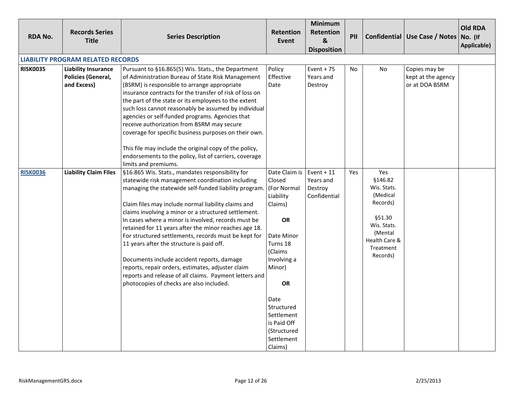<span id="page-11-0"></span>

| <b>RDA No.</b>  | <b>Records Series</b><br><b>Title</b>                           | <b>Series Description</b>                                                                                                                                                                                                                                                                                                                                                                                                                                                                                                                                                                                                                                                                                 | <b>Retention</b><br>Event                                                                                                                                                                                                                  | Minimum<br>Retention<br>$\boldsymbol{8}$<br><b>Disposition</b> | PII |                                                                                                                                     | Confidential   Use Case / Notes   No. (If             | <b>Old RDA</b><br>Applicable) |
|-----------------|-----------------------------------------------------------------|-----------------------------------------------------------------------------------------------------------------------------------------------------------------------------------------------------------------------------------------------------------------------------------------------------------------------------------------------------------------------------------------------------------------------------------------------------------------------------------------------------------------------------------------------------------------------------------------------------------------------------------------------------------------------------------------------------------|--------------------------------------------------------------------------------------------------------------------------------------------------------------------------------------------------------------------------------------------|----------------------------------------------------------------|-----|-------------------------------------------------------------------------------------------------------------------------------------|-------------------------------------------------------|-------------------------------|
|                 | <b>LIABILITY PROGRAM RELATED RECORDS</b>                        |                                                                                                                                                                                                                                                                                                                                                                                                                                                                                                                                                                                                                                                                                                           |                                                                                                                                                                                                                                            |                                                                |     |                                                                                                                                     |                                                       |                               |
| <b>RISK0035</b> | <b>Liability Insurance</b><br>Policies (General,<br>and Excess) | Pursuant to §16.865(5) Wis. Stats., the Department<br>of Administration Bureau of State Risk Management<br>(BSRM) is responsible to arrange appropriate<br>insurance contracts for the transfer of risk of loss on<br>the part of the state or its employees to the extent<br>such loss cannot reasonably be assumed by individual<br>agencies or self-funded programs. Agencies that<br>receive authorization from BSRM may secure<br>coverage for specific business purposes on their own.<br>This file may include the original copy of the policy,<br>endorsements to the policy, list of carriers, coverage<br>limits and premiums.                                                                  | Policy<br>Effective<br>Date                                                                                                                                                                                                                | Event + $75$<br>Years and<br>Destroy                           | No  | <b>No</b>                                                                                                                           | Copies may be<br>kept at the agency<br>or at DOA BSRM |                               |
| <b>RISK0036</b> | <b>Liability Claim Files</b>                                    | §16.865 Wis. Stats., mandates responsibility for<br>statewide risk management coordination including<br>managing the statewide self-funded liability program<br>Claim files may include normal liability claims and<br>claims involving a minor or a structured settlement.<br>In cases where a minor is involved, records must be<br>retained for 11 years after the minor reaches age 18.<br>For structured settlements, records must be kept for<br>11 years after the structure is paid off.<br>Documents include accident reports, damage<br>reports, repair orders, estimates, adjuster claim<br>reports and release of all claims. Payment letters and<br>photocopies of checks are also included. | Date Claim is<br>Closed<br>(For Normal<br>Liability<br>Claims)<br><b>OR</b><br>Date Minor<br>Turns 18<br>(Claims<br>Involving a<br>Minor)<br>OR<br>Date<br>Structured<br>Settlement<br>is Paid Off<br>(Structured<br>Settlement<br>Claims) | Event $+11$<br>Years and<br>Destroy<br>Confidential            | Yes | Yes<br>§146.82<br>Wis. Stats.<br>(Medical<br>Records)<br>§51.30<br>Wis. Stats.<br>(Mental<br>Health Care &<br>Treatment<br>Records) |                                                       |                               |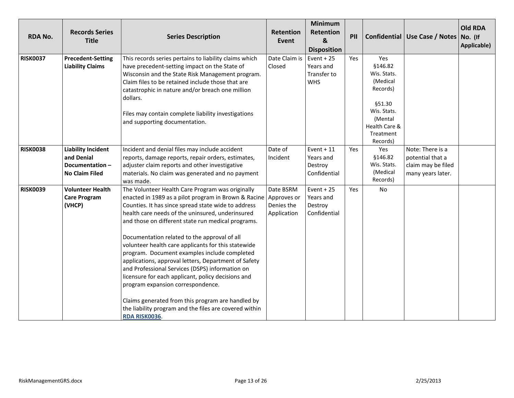| <b>RDA No.</b>  | <b>Records Series</b><br><b>Title</b>                                              | <b>Series Description</b>                                                                                                                                                                                                                                                                                                                                                                                                                                                                                                                                                                                                                                                                                                                                                            | <b>Retention</b><br>Event              | Minimum<br>Retention<br>$\boldsymbol{8}$<br><b>Disposition</b> | PII |                                                                                                                                      | Confidential   Use Case / Notes   No. (If                                       | <b>Old RDA</b><br>Applicable) |
|-----------------|------------------------------------------------------------------------------------|--------------------------------------------------------------------------------------------------------------------------------------------------------------------------------------------------------------------------------------------------------------------------------------------------------------------------------------------------------------------------------------------------------------------------------------------------------------------------------------------------------------------------------------------------------------------------------------------------------------------------------------------------------------------------------------------------------------------------------------------------------------------------------------|----------------------------------------|----------------------------------------------------------------|-----|--------------------------------------------------------------------------------------------------------------------------------------|---------------------------------------------------------------------------------|-------------------------------|
| <b>RISK0037</b> | <b>Precedent-Setting</b><br><b>Liability Claims</b>                                | This records series pertains to liability claims which<br>have precedent-setting impact on the State of<br>Wisconsin and the State Risk Management program.<br>Claim files to be retained include those that are<br>catastrophic in nature and/or breach one million<br>dollars.<br>Files may contain complete liability investigations<br>and supporting documentation.                                                                                                                                                                                                                                                                                                                                                                                                             | Date Claim is<br>Closed                | Event $+25$<br>Years and<br>Transfer to<br><b>WHS</b>          | Yes | Yes<br>\$146.82<br>Wis. Stats.<br>(Medical<br>Records)<br>§51.30<br>Wis. Stats.<br>(Mental<br>Health Care &<br>Treatment<br>Records) |                                                                                 |                               |
| <b>RISK0038</b> | <b>Liability Incident</b><br>and Denial<br>Documentation-<br><b>No Claim Filed</b> | Incident and denial files may include accident<br>reports, damage reports, repair orders, estimates,<br>adjuster claim reports and other investigative<br>materials. No claim was generated and no payment<br>was made.                                                                                                                                                                                                                                                                                                                                                                                                                                                                                                                                                              | Date of<br>Incident                    | Event $+11$<br>Years and<br>Destroy<br>Confidential            | Yes | Yes<br>§146.82<br>Wis. Stats.<br>(Medical<br>Records)                                                                                | Note: There is a<br>potential that a<br>claim may be filed<br>many years later. |                               |
| <b>RISK0039</b> | <b>Volunteer Health</b><br><b>Care Program</b><br>(VHCP)                           | The Volunteer Health Care Program was originally<br>enacted in 1989 as a pilot program in Brown & Racine   Approves or<br>Counties. It has since spread state wide to address<br>health care needs of the uninsured, underinsured<br>and those on different state run medical programs.<br>Documentation related to the approval of all<br>volunteer health care applicants for this statewide<br>program. Document examples include completed<br>applications, approval letters, Department of Safety<br>and Professional Services (DSPS) information on<br>licensure for each applicant, policy decisions and<br>program expansion correspondence.<br>Claims generated from this program are handled by<br>the liability program and the files are covered within<br>RDA RISK0036. | Date BSRM<br>Denies the<br>Application | Event $+25$<br>Years and<br>Destroy<br>Confidential            | Yes | No                                                                                                                                   |                                                                                 |                               |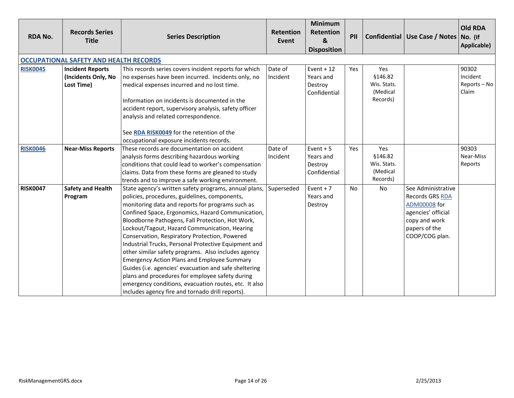<span id="page-13-2"></span><span id="page-13-1"></span><span id="page-13-0"></span>

| <b>RDA No.</b>  | <b>Records Series</b><br><b>Title</b>                        | <b>Series Description</b>                                                                                                                                                                                                                                                                                                                                                                                                                                                                                                                                                                                                                                                                                                                                           | Retention<br>Event  | Minimum<br>Retention<br>&<br><b>Disposition</b>     | PII       |                                                       | Confidential   Use Case / Notes   No. (If                                                                                              | <b>Old RDA</b><br>Applicable)              |
|-----------------|--------------------------------------------------------------|---------------------------------------------------------------------------------------------------------------------------------------------------------------------------------------------------------------------------------------------------------------------------------------------------------------------------------------------------------------------------------------------------------------------------------------------------------------------------------------------------------------------------------------------------------------------------------------------------------------------------------------------------------------------------------------------------------------------------------------------------------------------|---------------------|-----------------------------------------------------|-----------|-------------------------------------------------------|----------------------------------------------------------------------------------------------------------------------------------------|--------------------------------------------|
|                 | <b>OCCUPATIONAL SAFETY AND HEALTH RECORDS</b>                |                                                                                                                                                                                                                                                                                                                                                                                                                                                                                                                                                                                                                                                                                                                                                                     |                     |                                                     |           |                                                       |                                                                                                                                        |                                            |
| <b>RISK0045</b> | <b>Incident Reports</b><br>(Incidents Only, No<br>Lost Time) | This records series covers incident reports for which<br>no expenses have been incurred. Incidents only, no<br>medical expenses incurred and no lost time.<br>Information on incidents is documented in the<br>accident report, supervisory analysis, safety officer<br>analysis and related correspondence.<br>See RDA RISK0049 for the retention of the                                                                                                                                                                                                                                                                                                                                                                                                           | Date of<br>Incident | Event $+12$<br>Years and<br>Destroy<br>Confidential | Yes       | Yes<br>§146.82<br>Wis. Stats.<br>(Medical<br>Records) |                                                                                                                                        | 90302<br>Incident<br>Reports - No<br>Claim |
| <b>RISK0046</b> | <b>Near-Miss Reports</b>                                     | occupational exposure incidents records.<br>These records are documentation on accident<br>analysis forms describing hazardous working<br>conditions that could lead to worker's compensation<br>claims. Data from these forms are gleaned to study<br>trends and to improve a safe working environment.                                                                                                                                                                                                                                                                                                                                                                                                                                                            | Date of<br>Incident | Event $+5$<br>Years and<br>Destroy<br>Confidential  | Yes       | Yes<br>§146.82<br>Wis. Stats.<br>(Medical<br>Records) |                                                                                                                                        | 90303<br>Near-Miss<br>Reports              |
| <b>RISK0047</b> | <b>Safety and Health</b><br>Program                          | State agency's written safety programs, annual plans,<br>policies, procedures, guidelines, components,<br>monitoring data and reports for programs such as<br>Confined Space, Ergonomics, Hazard Communication,<br>Bloodborne Pathogens, Fall Protection, Hot Work,<br>Lockout/Tagout, Hazard Communication, Hearing<br>Conservation, Respiratory Protection, Powered<br>Industrial Trucks, Personal Protective Equipment and<br>other similar safety programs. Also includes agency<br><b>Emergency Action Plans and Employee Summary</b><br>Guides (i.e. agencies' evacuation and safe sheltering<br>plans and procedures for employee safety during<br>emergency conditions, evacuation routes, etc. It also<br>includes agency fire and tornado drill reports). | Superseded          | Event $+7$<br>Years and<br>Destroy                  | <b>No</b> | <b>No</b>                                             | See Administrative<br>Records GRS RDA<br><b>ADM00008</b> for<br>agencies' official<br>copy and work<br>papers of the<br>COOP/COG plan. |                                            |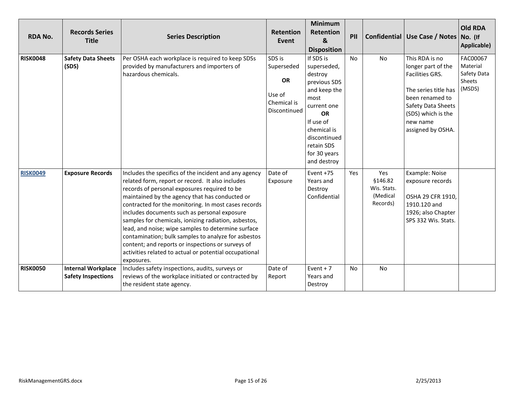<span id="page-14-0"></span>

| <b>RDA No.</b>  | <b>Records Series</b><br><b>Title</b>                  | <b>Series Description</b>                                                                                                                                                                                                                                                                                                                                                                                                                                                                                                                                                                                             | <b>Retention</b><br><b>Event</b>                                           | <b>Minimum</b><br>Retention<br>&<br><b>Disposition</b>                                                                                                                                           | PII       |                                                       | Confidential   Use Case / Notes                                                                                                                                                 | <b>Old RDA</b><br>No. (If<br>Applicable)                |
|-----------------|--------------------------------------------------------|-----------------------------------------------------------------------------------------------------------------------------------------------------------------------------------------------------------------------------------------------------------------------------------------------------------------------------------------------------------------------------------------------------------------------------------------------------------------------------------------------------------------------------------------------------------------------------------------------------------------------|----------------------------------------------------------------------------|--------------------------------------------------------------------------------------------------------------------------------------------------------------------------------------------------|-----------|-------------------------------------------------------|---------------------------------------------------------------------------------------------------------------------------------------------------------------------------------|---------------------------------------------------------|
| <b>RISK0048</b> | <b>Safety Data Sheets</b><br>(SDS)                     | Per OSHA each workplace is required to keep SDSs<br>provided by manufacturers and importers of<br>hazardous chemicals.                                                                                                                                                                                                                                                                                                                                                                                                                                                                                                | SDS is<br>Superseded<br><b>OR</b><br>Use of<br>Chemical is<br>Discontinued | If SDS is<br>superseded,<br>destroy<br>previous SDS<br>and keep the<br>most<br>current one<br><b>OR</b><br>If use of<br>chemical is<br>discontinued<br>retain SDS<br>for 30 years<br>and destroy | <b>No</b> | <b>No</b>                                             | This RDA is no<br>longer part of the<br>Facilities GRS.<br>The series title has<br>been renamed to<br>Safety Data Sheets<br>(SDS) which is the<br>new name<br>assigned by OSHA. | FAC00067<br>Material<br>Safety Data<br>Sheets<br>(MSDS) |
| <b>RISK0049</b> | <b>Exposure Records</b>                                | Includes the specifics of the incident and any agency<br>related form, report or record. It also includes<br>records of personal exposures required to be<br>maintained by the agency that has conducted or<br>contracted for the monitoring. In most cases records<br>includes documents such as personal exposure<br>samples for chemicals, ionizing radiation, asbestos,<br>lead, and noise; wipe samples to determine surface<br>contamination; bulk samples to analyze for asbestos<br>content; and reports or inspections or surveys of<br>activities related to actual or potential occupational<br>exposures. | Date of<br>Exposure                                                        | Event +75<br>Years and<br>Destroy<br>Confidential                                                                                                                                                | Yes       | Yes<br>§146.82<br>Wis. Stats.<br>(Medical<br>Records) | Example: Noise<br>exposure records<br>OSHA 29 CFR 1910,<br>1910.120 and<br>1926; also Chapter<br>SPS 332 Wis. Stats.                                                            |                                                         |
| <b>RISK0050</b> | <b>Internal Workplace</b><br><b>Safety Inspections</b> | Includes safety inspections, audits, surveys or<br>reviews of the workplace initiated or contracted by<br>the resident state agency.                                                                                                                                                                                                                                                                                                                                                                                                                                                                                  | Date of<br>Report                                                          | Event $+7$<br>Years and<br>Destroy                                                                                                                                                               | <b>No</b> | No                                                    |                                                                                                                                                                                 |                                                         |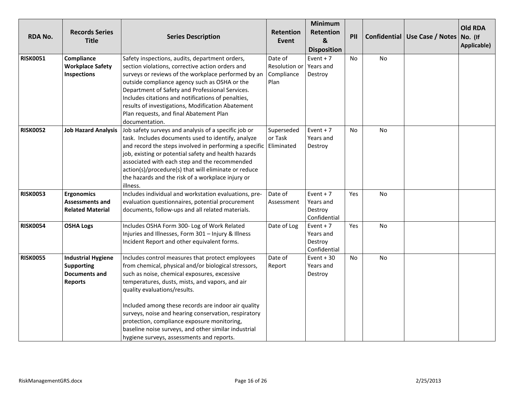| <b>RDA No.</b>  | <b>Records Series</b><br><b>Title</b>                                                    | <b>Series Description</b>                                                                                                                                                                                                                                                                                                                                                                                                                                                                                      | <b>Retention</b><br>Event                      | <b>Minimum</b><br><b>Retention</b><br>$\boldsymbol{8}$<br><b>Disposition</b> | PII       |           | Confidential   Use Case / Notes   No. (If | <b>Old RDA</b><br>Applicable) |
|-----------------|------------------------------------------------------------------------------------------|----------------------------------------------------------------------------------------------------------------------------------------------------------------------------------------------------------------------------------------------------------------------------------------------------------------------------------------------------------------------------------------------------------------------------------------------------------------------------------------------------------------|------------------------------------------------|------------------------------------------------------------------------------|-----------|-----------|-------------------------------------------|-------------------------------|
| <b>RISK0051</b> | Compliance<br><b>Workplace Safety</b><br><b>Inspections</b>                              | Safety inspections, audits, department orders,<br>section violations, corrective action orders and<br>surveys or reviews of the workplace performed by an<br>outside compliance agency such as OSHA or the<br>Department of Safety and Professional Services.<br>Includes citations and notifications of penalties,<br>results of investigations, Modification Abatement<br>Plan requests, and final Abatement Plan<br>documentation.                                                                          | Date of<br>Resolution or<br>Compliance<br>Plan | Event $+7$<br>Years and<br>Destroy                                           | No        | No        |                                           |                               |
| <b>RISK0052</b> | <b>Job Hazard Analysis</b>                                                               | Job safety surveys and analysis of a specific job or<br>task. Includes documents used to identify, analyze<br>and record the steps involved in performing a specific<br>job, existing or potential safety and health hazards<br>associated with each step and the recommended<br>action(s)/procedure(s) that will eliminate or reduce<br>the hazards and the risk of a workplace injury or<br>illness.                                                                                                         | Superseded<br>or Task<br>Eliminated            | Event $+7$<br>Years and<br>Destroy                                           | No        | <b>No</b> |                                           |                               |
| <b>RISK0053</b> | <b>Ergonomics</b><br><b>Assessments and</b><br><b>Related Material</b>                   | Includes individual and workstation evaluations, pre-<br>evaluation questionnaires, potential procurement<br>documents, follow-ups and all related materials.                                                                                                                                                                                                                                                                                                                                                  | Date of<br>Assessment                          | Event $+7$<br>Years and<br>Destroy<br>Confidential                           | Yes       | <b>No</b> |                                           |                               |
| <b>RISK0054</b> | <b>OSHA Logs</b>                                                                         | Includes OSHA Form 300- Log of Work Related<br>Injuries and Illnesses, Form 301 - Injury & Illness<br>Incident Report and other equivalent forms.                                                                                                                                                                                                                                                                                                                                                              | Date of Log                                    | Event $+7$<br>Years and<br>Destroy<br>Confidential                           | Yes       | No        |                                           |                               |
| <b>RISK0055</b> | <b>Industrial Hygiene</b><br><b>Supporting</b><br><b>Documents and</b><br><b>Reports</b> | Includes control measures that protect employees<br>from chemical, physical and/or biological stressors,<br>such as noise, chemical exposures, excessive<br>temperatures, dusts, mists, and vapors, and air<br>quality evaluations/results.<br>Included among these records are indoor air quality<br>surveys, noise and hearing conservation, respiratory<br>protection, compliance exposure monitoring,<br>baseline noise surveys, and other similar industrial<br>hygiene surveys, assessments and reports. | Date of<br>Report                              | Event $+30$<br>Years and<br>Destroy                                          | <b>No</b> | <b>No</b> |                                           |                               |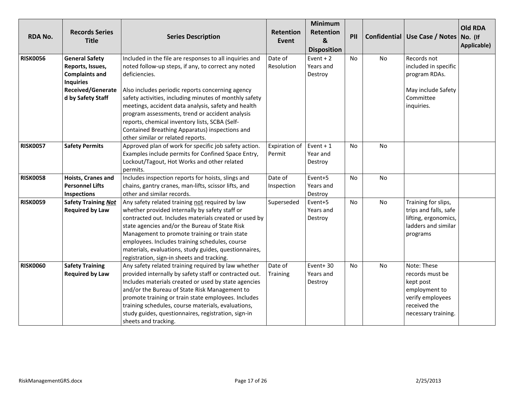| <b>RDA No.</b>  | <b>Records Series</b><br><b>Title</b> | <b>Series Description</b>                               | <b>Retention</b><br>Event | <b>Minimum</b><br><b>Retention</b><br>&<br><b>Disposition</b> | PII       |           | Confidential   Use Case / Notes | <b>Old RDA</b><br>No. (If<br>Applicable) |
|-----------------|---------------------------------------|---------------------------------------------------------|---------------------------|---------------------------------------------------------------|-----------|-----------|---------------------------------|------------------------------------------|
| <b>RISK0056</b> | <b>General Safety</b>                 | Included in the file are responses to all inquiries and | Date of                   | Event $+2$                                                    | No        | No        | Records not                     |                                          |
|                 | Reports, Issues,                      | noted follow-up steps, if any, to correct any noted     | Resolution                | Years and                                                     |           |           | included in specific            |                                          |
|                 | <b>Complaints and</b>                 | deficiencies.                                           |                           | Destroy                                                       |           |           | program RDAs.                   |                                          |
|                 | <b>Inquiries</b>                      |                                                         |                           |                                                               |           |           |                                 |                                          |
|                 | Received/Generate                     | Also includes periodic reports concerning agency        |                           |                                                               |           |           | May include Safety              |                                          |
|                 | d by Safety Staff                     | safety activities, including minutes of monthly safety  |                           |                                                               |           |           | Committee                       |                                          |
|                 |                                       | meetings, accident data analysis, safety and health     |                           |                                                               |           |           | inquiries.                      |                                          |
|                 |                                       | program assessments, trend or accident analysis         |                           |                                                               |           |           |                                 |                                          |
|                 |                                       | reports, chemical inventory lists, SCBA (Self-          |                           |                                                               |           |           |                                 |                                          |
|                 |                                       | Contained Breathing Apparatus) inspections and          |                           |                                                               |           |           |                                 |                                          |
|                 |                                       | other similar or related reports.                       |                           |                                                               |           |           |                                 |                                          |
| <b>RISK0057</b> | <b>Safety Permits</b>                 | Approved plan of work for specific job safety action.   | Expiration of             | Event $+1$                                                    | No        | No        |                                 |                                          |
|                 |                                       | Examples include permits for Confined Space Entry,      | Permit                    | Year and                                                      |           |           |                                 |                                          |
|                 |                                       | Lockout/Tagout, Hot Works and other related             |                           | Destroy                                                       |           |           |                                 |                                          |
|                 |                                       | permits.                                                |                           |                                                               |           |           |                                 |                                          |
| <b>RISK0058</b> | <b>Hoists, Cranes and</b>             | Includes inspection reports for hoists, slings and      | Date of                   | Event+5                                                       | <b>No</b> | <b>No</b> |                                 |                                          |
|                 | <b>Personnel Lifts</b>                | chains, gantry cranes, man-lifts, scissor lifts, and    | Inspection                | Years and                                                     |           |           |                                 |                                          |
|                 | <b>Inspections</b>                    | other and similar records.                              |                           | Destroy                                                       |           |           |                                 |                                          |
| <b>RISK0059</b> | <b>Safety Training Not</b>            | Any safety related training not required by law         | Superseded                | Event+5                                                       | No        | No        | Training for slips,             |                                          |
|                 | <b>Required by Law</b>                | whether provided internally by safety staff or          |                           | Years and                                                     |           |           | trips and falls, safe           |                                          |
|                 |                                       | contracted out. Includes materials created or used by   |                           | Destroy                                                       |           |           | lifting, ergonomics,            |                                          |
|                 |                                       | state agencies and/or the Bureau of State Risk          |                           |                                                               |           |           | ladders and similar             |                                          |
|                 |                                       | Management to promote training or train state           |                           |                                                               |           |           | programs                        |                                          |
|                 |                                       | employees. Includes training schedules, course          |                           |                                                               |           |           |                                 |                                          |
|                 |                                       | materials, evaluations, study guides, questionnaires,   |                           |                                                               |           |           |                                 |                                          |
|                 |                                       | registration, sign-in sheets and tracking.              |                           |                                                               |           |           |                                 |                                          |
| <b>RISK0060</b> | <b>Safety Training</b>                | Any safety related training required by law whether     | Date of                   | Event+30                                                      | <b>No</b> | No        | Note: These                     |                                          |
|                 | <b>Required by Law</b>                | provided internally by safety staff or contracted out.  | Training                  | Years and                                                     |           |           | records must be                 |                                          |
|                 |                                       | Includes materials created or used by state agencies    |                           | Destroy                                                       |           |           | kept post                       |                                          |
|                 |                                       | and/or the Bureau of State Risk Management to           |                           |                                                               |           |           | employment to                   |                                          |
|                 |                                       | promote training or train state employees. Includes     |                           |                                                               |           |           | verify employees                |                                          |
|                 |                                       | training schedules, course materials, evaluations,      |                           |                                                               |           |           | received the                    |                                          |
|                 |                                       | study guides, questionnaires, registration, sign-in     |                           |                                                               |           |           | necessary training.             |                                          |
|                 |                                       | sheets and tracking.                                    |                           |                                                               |           |           |                                 |                                          |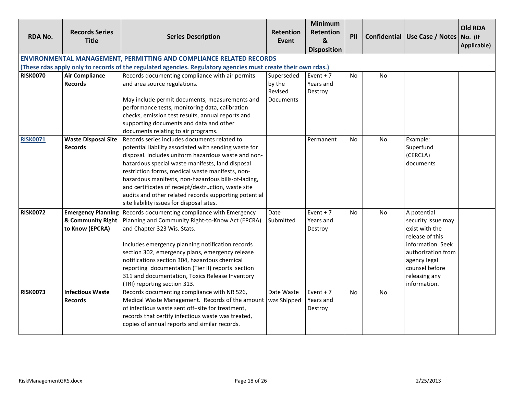<span id="page-17-0"></span>

| <b>RDA No.</b>  | <b>Records Series</b><br><b>Title</b> | <b>Series Description</b>                                                                                     | <b>Retention</b><br>Event | <b>Minimum</b><br><b>Retention</b><br>$\mathbf{g}$<br><b>Disposition</b> | PII            |           | Confidential Use Case / Notes No. (If | <b>Old RDA</b><br>Applicable) |
|-----------------|---------------------------------------|---------------------------------------------------------------------------------------------------------------|---------------------------|--------------------------------------------------------------------------|----------------|-----------|---------------------------------------|-------------------------------|
|                 |                                       | <b>ENVIRONMENTAL MANAGEMENT, PERMITTING AND COMPLIANCE RELATED RECORDS</b>                                    |                           |                                                                          |                |           |                                       |                               |
|                 |                                       | (These rdas apply only to records of the regulated agencies. Regulatory agencies must create their own rdas.) |                           |                                                                          |                |           |                                       |                               |
| <b>RISK0070</b> | <b>Air Compliance</b>                 | Records documenting compliance with air permits                                                               | Superseded                | Event $+7$                                                               | <b>No</b>      | <b>No</b> |                                       |                               |
|                 | <b>Records</b>                        | and area source regulations.                                                                                  | by the<br>Revised         | Years and<br>Destroy                                                     |                |           |                                       |                               |
|                 |                                       | May include permit documents, measurements and                                                                | Documents                 |                                                                          |                |           |                                       |                               |
|                 |                                       | performance tests, monitoring data, calibration                                                               |                           |                                                                          |                |           |                                       |                               |
|                 |                                       | checks, emission test results, annual reports and                                                             |                           |                                                                          |                |           |                                       |                               |
|                 |                                       | supporting documents and data and other                                                                       |                           |                                                                          |                |           |                                       |                               |
|                 |                                       | documents relating to air programs.                                                                           |                           |                                                                          |                |           |                                       |                               |
| <b>RISK0071</b> |                                       | Waste Disposal Site   Records series includes documents related to                                            |                           | Permanent                                                                | N <sub>0</sub> | <b>No</b> | Example:                              |                               |
|                 | <b>Records</b>                        | potential liability associated with sending waste for                                                         |                           |                                                                          |                |           | Superfund                             |                               |
|                 |                                       | disposal. Includes uniform hazardous waste and non-                                                           |                           |                                                                          |                |           | (CERCLA)                              |                               |
|                 |                                       | hazardous special waste manifests, land disposal                                                              |                           |                                                                          |                |           | documents                             |                               |
|                 |                                       | restriction forms, medical waste manifests, non-<br>hazardous manifests, non-hazardous bills-of-lading,       |                           |                                                                          |                |           |                                       |                               |
|                 |                                       | and certificates of receipt/destruction, waste site                                                           |                           |                                                                          |                |           |                                       |                               |
|                 |                                       | audits and other related records supporting potential                                                         |                           |                                                                          |                |           |                                       |                               |
|                 |                                       | site liability issues for disposal sites.                                                                     |                           |                                                                          |                |           |                                       |                               |
| <b>RISK0072</b> |                                       | <b>Emergency Planning</b> Records documenting compliance with Emergency                                       | Date                      | Event $+7$                                                               |                | No.       | A potential                           |                               |
|                 | & Community Right                     | Planning and Community Right-to-Know Act (EPCRA)                                                              | Submitted                 | Years and                                                                | No             |           | security issue may                    |                               |
|                 | to Know (EPCRA)                       | and Chapter 323 Wis. Stats.                                                                                   |                           | Destroy                                                                  |                |           | exist with the                        |                               |
|                 |                                       |                                                                                                               |                           |                                                                          |                |           | release of this                       |                               |
|                 |                                       | Includes emergency planning notification records                                                              |                           |                                                                          |                |           | information. Seek                     |                               |
|                 |                                       | section 302, emergency plans, emergency release                                                               |                           |                                                                          |                |           | authorization from                    |                               |
|                 |                                       | notifications section 304, hazardous chemical                                                                 |                           |                                                                          |                |           | agency legal                          |                               |
|                 |                                       | reporting documentation (Tier II) reports section                                                             |                           |                                                                          |                |           | counsel before                        |                               |
|                 |                                       | 311 and documentation, Toxics Release Inventory                                                               |                           |                                                                          |                |           | releasing any                         |                               |
|                 |                                       | (TRI) reporting section 313.                                                                                  |                           |                                                                          |                |           | information.                          |                               |
| <b>RISK0073</b> | <b>Infectious Waste</b>               | Records documenting compliance with NR 526,                                                                   | Date Waste                | Event $+7$                                                               | <b>No</b>      | <b>No</b> |                                       |                               |
|                 | <b>Records</b>                        | Medical Waste Management. Records of the amount   was Shipped                                                 |                           | Years and                                                                |                |           |                                       |                               |
|                 |                                       | of infectious waste sent off-site for treatment,                                                              |                           | Destroy                                                                  |                |           |                                       |                               |
|                 |                                       | records that certify infectious waste was treated,                                                            |                           |                                                                          |                |           |                                       |                               |
|                 |                                       | copies of annual reports and similar records.                                                                 |                           |                                                                          |                |           |                                       |                               |
|                 |                                       |                                                                                                               |                           |                                                                          |                |           |                                       |                               |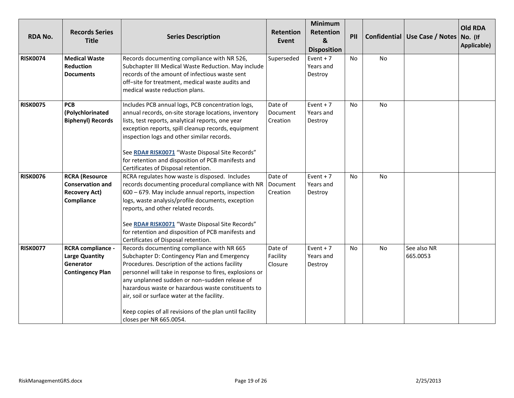| <b>RDA No.</b>  | <b>Records Series</b><br><b>Title</b>                                                     | <b>Series Description</b>                                                                                                                                                                                                                                                                                                                                                                                                                            | <b>Retention</b><br>Event       | <b>Minimum</b><br>Retention<br>&<br><b>Disposition</b> | PII       |           | Confidential   Use Case / Notes   No. (If | <b>Old RDA</b><br>Applicable) |
|-----------------|-------------------------------------------------------------------------------------------|------------------------------------------------------------------------------------------------------------------------------------------------------------------------------------------------------------------------------------------------------------------------------------------------------------------------------------------------------------------------------------------------------------------------------------------------------|---------------------------------|--------------------------------------------------------|-----------|-----------|-------------------------------------------|-------------------------------|
| <b>RISK0074</b> | <b>Medical Waste</b><br><b>Reduction</b><br><b>Documents</b>                              | Records documenting compliance with NR 526,<br>Subchapter III Medical Waste Reduction. May include<br>records of the amount of infectious waste sent<br>off-site for treatment, medical waste audits and<br>medical waste reduction plans.                                                                                                                                                                                                           | Superseded                      | Event $+7$<br>Years and<br>Destroy                     | <b>No</b> | No        |                                           |                               |
| <b>RISK0075</b> | <b>PCB</b><br>(Polychlorinated<br><b>Biphenyl) Records</b>                                | Includes PCB annual logs, PCB concentration logs,<br>annual records, on-site storage locations, inventory<br>lists, test reports, analytical reports, one year<br>exception reports, spill cleanup records, equipment<br>inspection logs and other similar records.<br>See RDA# RISK0071 "Waste Disposal Site Records"<br>for retention and disposition of PCB manifests and<br>Certificates of Disposal retention.                                  | Date of<br>Document<br>Creation | Event $+7$<br>Years and<br>Destroy                     | No        | No        |                                           |                               |
| <b>RISK0076</b> | <b>RCRA</b> (Resource<br><b>Conservation and</b><br><b>Recovery Act)</b><br>Compliance    | RCRA regulates how waste is disposed. Includes<br>records documenting procedural compliance with NR   Document<br>600 - 679. May include annual reports, inspection<br>logs, waste analysis/profile documents, exception<br>reports, and other related records.<br>See RDA# RISK0071 "Waste Disposal Site Records"<br>for retention and disposition of PCB manifests and<br>Certificates of Disposal retention.                                      | Date of<br>Creation             | Event $+7$<br>Years and<br>Destroy                     | <b>No</b> | <b>No</b> |                                           |                               |
| <b>RISK0077</b> | <b>RCRA compliance -</b><br><b>Large Quantity</b><br>Generator<br><b>Contingency Plan</b> | Records documenting compliance with NR 665<br>Subchapter D: Contingency Plan and Emergency<br>Procedures. Description of the actions facility<br>personnel will take in response to fires, explosions or<br>any unplanned sudden or non-sudden release of<br>hazardous waste or hazardous waste constituents to<br>air, soil or surface water at the facility.<br>Keep copies of all revisions of the plan until facility<br>closes per NR 665.0054. | Date of<br>Facility<br>Closure  | Event $+7$<br>Years and<br>Destroy                     | <b>No</b> | <b>No</b> | See also NR<br>665.0053                   |                               |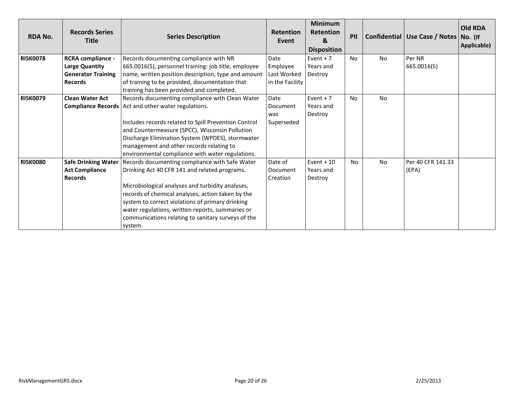| <b>RDA No.</b>  | <b>Records Series</b><br><b>Title</b>                                                     | <b>Series Description</b>                                                                                                                                                                                                                                                                                                                                                         | <b>Retention</b><br>Event                          | <b>Minimum</b><br><b>Retention</b><br>$\mathbf{g}$<br><b>Disposition</b> | PII       |           | Confidential   Use Case / Notes   No. (If | <b>Old RDA</b><br>Applicable) |
|-----------------|-------------------------------------------------------------------------------------------|-----------------------------------------------------------------------------------------------------------------------------------------------------------------------------------------------------------------------------------------------------------------------------------------------------------------------------------------------------------------------------------|----------------------------------------------------|--------------------------------------------------------------------------|-----------|-----------|-------------------------------------------|-------------------------------|
| <b>RISK0078</b> | RCRA compliance -<br><b>Large Quantity</b><br><b>Generator Training</b><br><b>Records</b> | Records documenting compliance with NR<br>665.0016(5), personnel training: job title, employee<br>name, written position description, type and amount<br>of training to be provided, documentation that<br>training has been provided and completed.                                                                                                                              | Date<br>Employee<br>Last Worked<br>in the Facility | Event $+7$<br>Years and<br>Destroy                                       | <b>No</b> | <b>No</b> | Per NR<br>665.0016(5)                     |                               |
| <b>RISK0079</b> | <b>Clean Water Act</b>                                                                    | Records documenting compliance with Clean Water<br><b>Compliance Records</b> Act and other water regulations.<br>Includes records related to Spill Prevention Control<br>and Countermeasure (SPCC), Wisconsin Pollution<br>Discharge Elimination System (WPDES), stormwater<br>management and other records relating to<br>environmental compliance with water regulations.       | Date<br>Document<br>was<br>Superseded              | Event + $7$<br>Years and<br>Destroy                                      | No        | <b>No</b> |                                           |                               |
| <b>RISK0080</b> | <b>Safe Drinking Water</b><br><b>Act Compliance</b><br><b>Records</b>                     | Records documenting compliance with Safe Water<br>Drinking Act 40 CFR 141 and related programs.<br>Microbiological analyses and turbidity analyses,<br>records of chemical analyses, action taken by the<br>system to correct violations of primary drinking<br>water regulations, written reports, summaries or<br>communications relating to sanitary surveys of the<br>system. | Date of<br>Document<br>Creation                    | Event + $10$<br>Years and<br>Destroy                                     | <b>No</b> | <b>No</b> | Per 40 CFR 141.33<br>(EPA)                |                               |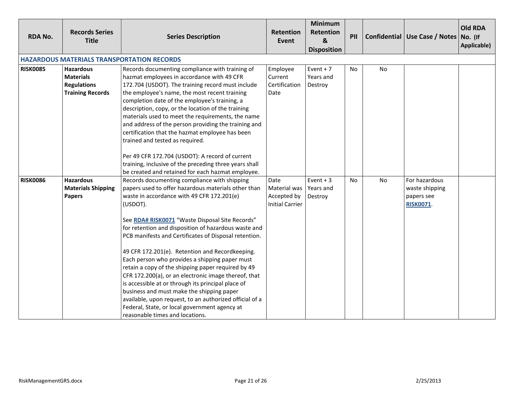| <b>RDA No.</b>  | <b>Records Series</b><br><b>Title</b>                                                 | <b>Series Description</b>                                                                                                                                                                                                                                                                                                                                                                                                                                                                                                                                                                                                                                                                                                                                                                              | <b>Retention</b><br>Event                                     | Minimum<br>Retention<br>&<br><b>Disposition</b> | PII |           | Confidential   Use Case / Notes   No. (If                         | <b>Old RDA</b><br>Applicable) |
|-----------------|---------------------------------------------------------------------------------------|--------------------------------------------------------------------------------------------------------------------------------------------------------------------------------------------------------------------------------------------------------------------------------------------------------------------------------------------------------------------------------------------------------------------------------------------------------------------------------------------------------------------------------------------------------------------------------------------------------------------------------------------------------------------------------------------------------------------------------------------------------------------------------------------------------|---------------------------------------------------------------|-------------------------------------------------|-----|-----------|-------------------------------------------------------------------|-------------------------------|
|                 |                                                                                       | <b>HAZARDOUS MATERIALS TRANSPORTATION RECORDS</b>                                                                                                                                                                                                                                                                                                                                                                                                                                                                                                                                                                                                                                                                                                                                                      |                                                               |                                                 |     |           |                                                                   |                               |
| <b>RISK0085</b> | <b>Hazardous</b><br><b>Materials</b><br><b>Regulations</b><br><b>Training Records</b> | Records documenting compliance with training of<br>hazmat employees in accordance with 49 CFR<br>172.704 (USDOT). The training record must include<br>the employee's name, the most recent training<br>completion date of the employee's training, a<br>description, copy, or the location of the training<br>materials used to meet the requirements, the name<br>and address of the person providing the training and<br>certification that the hazmat employee has been<br>trained and tested as required.                                                                                                                                                                                                                                                                                          | Employee<br>Current<br>Certification<br>Date                  | Event $+7$<br>Years and<br>Destroy              | No  | <b>No</b> |                                                                   |                               |
|                 |                                                                                       | Per 49 CFR 172.704 (USDOT): A record of current<br>training, inclusive of the preceding three years shall<br>be created and retained for each hazmat employee.                                                                                                                                                                                                                                                                                                                                                                                                                                                                                                                                                                                                                                         |                                                               |                                                 |     |           |                                                                   |                               |
| <b>RISK0086</b> | <b>Hazardous</b><br><b>Materials Shipping</b><br><b>Papers</b>                        | Records documenting compliance with shipping<br>papers used to offer hazardous materials other than<br>waste in accordance with 49 CFR 172.201(e)<br>(USDOT).<br>See RDA# RISK0071 "Waste Disposal Site Records"<br>for retention and disposition of hazardous waste and<br>PCB manifests and Certificates of Disposal retention.<br>49 CFR 172.201(e). Retention and Recordkeeping.<br>Each person who provides a shipping paper must<br>retain a copy of the shipping paper required by 49<br>CFR 172.200(a), or an electronic image thereof, that<br>is accessible at or through its principal place of<br>business and must make the shipping paper<br>available, upon request, to an authorized official of a<br>Federal, State, or local government agency at<br>reasonable times and locations. | Date<br>Material was<br>Accepted by<br><b>Initial Carrier</b> | Event $+3$<br>Years and<br>Destroy              | No  | No        | For hazardous<br>waste shipping<br>papers see<br><b>RISK0071.</b> |                               |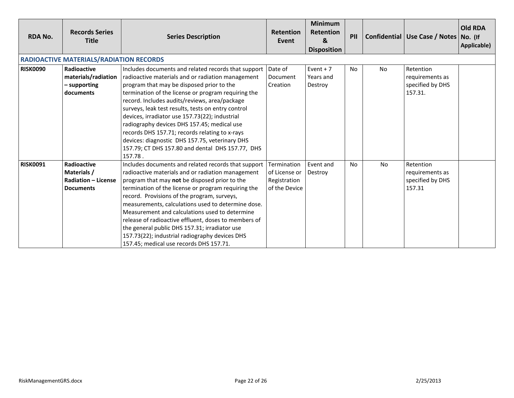| <b>RDA No.</b>  | <b>Records Series</b><br><b>Title</b>                                               | <b>Series Description</b>                                                                                                                                                                                                                                                                                                                                                                                                                                                                                                                                                                       | <b>Retention</b><br>Event                                     | <b>Minimum</b><br><b>Retention</b><br>&<br><b>Disposition</b> | PII       |           | Confidential   Use Case / Notes   No. (If                   | <b>Old RDA</b><br>Applicable) |
|-----------------|-------------------------------------------------------------------------------------|-------------------------------------------------------------------------------------------------------------------------------------------------------------------------------------------------------------------------------------------------------------------------------------------------------------------------------------------------------------------------------------------------------------------------------------------------------------------------------------------------------------------------------------------------------------------------------------------------|---------------------------------------------------------------|---------------------------------------------------------------|-----------|-----------|-------------------------------------------------------------|-------------------------------|
|                 | <b>RADIOACTIVE MATERIALS/RADIATION RECORDS</b>                                      |                                                                                                                                                                                                                                                                                                                                                                                                                                                                                                                                                                                                 |                                                               |                                                               |           |           |                                                             |                               |
| <b>RISK0090</b> | <b>Radioactive</b><br>materials/radiation<br>- supporting<br>documents              | Includes documents and related records that support Date of<br>radioactive materials and or radiation management<br>program that may be disposed prior to the<br>termination of the license or program requiring the<br>record. Includes audits/reviews, area/package<br>surveys, leak test results, tests on entry control<br>devices, irradiator use 157.73(22); industrial<br>radiography devices DHS 157.45; medical use<br>records DHS 157.71; records relating to x-rays<br>devices: diagnostic DHS 157.75, veterinary DHS<br>157.79; CT DHS 157.80 and dental DHS 157.77, DHS<br>157.78. | Document<br>Creation                                          | Event $+7$<br>Years and<br>Destroy                            | <b>No</b> | <b>No</b> | Retention<br>requirements as<br>specified by DHS<br>157.31. |                               |
| <b>RISK0091</b> | <b>Radioactive</b><br>Materials /<br><b>Radiation - License</b><br><b>Documents</b> | Includes documents and related records that support<br>radioactive materials and or radiation management<br>program that may not be disposed prior to the<br>termination of the license or program requiring the<br>record. Provisions of the program, surveys,<br>measurements, calculations used to determine dose.<br>Measurement and calculations used to determine<br>release of radioactive effluent, doses to members of<br>the general public DHS 157.31; irradiator use<br>157.73(22); industrial radiography devices DHS<br>157.45; medical use records DHS 157.71.                   | Termination<br>of License or<br>Registration<br>of the Device | Event and<br>Destroy                                          | <b>No</b> | <b>No</b> | Retention<br>requirements as<br>specified by DHS<br>157.31  |                               |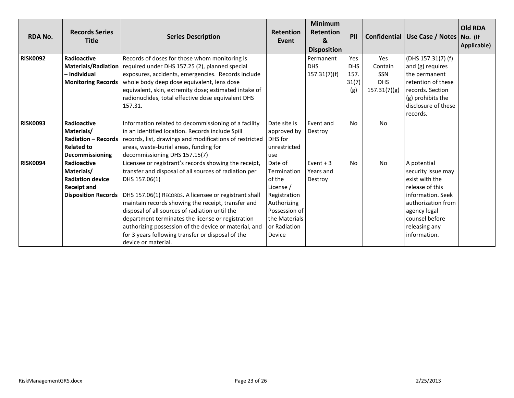| <b>RDA No.</b>  | <b>Records Series</b><br><b>Title</b> | <b>Series Description</b>                               | <b>Retention</b><br>Event | <b>Minimum</b><br><b>Retention</b><br>&<br><b>Disposition</b> | PII        |              | Confidential   Use Case / Notes   No. (If | <b>Old RDA</b><br>Applicable) |
|-----------------|---------------------------------------|---------------------------------------------------------|---------------------------|---------------------------------------------------------------|------------|--------------|-------------------------------------------|-------------------------------|
| <b>RISK0092</b> | Radioactive                           | Records of doses for those whom monitoring is           |                           | Permanent                                                     | Yes        | Yes          | (DHS 157.31(7) (f)                        |                               |
|                 | <b>Materials/Radiation</b>            | required under DHS 157.25 (2), planned special          |                           | <b>DHS</b>                                                    | <b>DHS</b> | Contain      | and (g) requires                          |                               |
|                 | – Individual                          | exposures, accidents, emergencies. Records include      |                           | 157.31(7)(f)                                                  | 157.       | <b>SSN</b>   | the permanent                             |                               |
|                 | <b>Monitoring Records</b>             | whole body deep dose equivalent, lens dose              |                           |                                                               | 31(7)      | <b>DHS</b>   | retention of these                        |                               |
|                 |                                       | equivalent, skin, extremity dose; estimated intake of   |                           |                                                               | (g)        | 157.31(7)(g) | records. Section                          |                               |
|                 |                                       | radionuclides, total effective dose equivalent DHS      |                           |                                                               |            |              | (g) prohibits the                         |                               |
|                 |                                       | 157.31.                                                 |                           |                                                               |            |              | disclosure of these                       |                               |
|                 |                                       |                                                         |                           |                                                               |            |              | records.                                  |                               |
| <b>RISK0093</b> | Radioactive                           | Information related to decommissioning of a facility    | Date site is              | Event and                                                     | No         | <b>No</b>    |                                           |                               |
|                 | Materials/                            | in an identified location. Records include Spill        | approved by               | Destroy                                                       |            |              |                                           |                               |
|                 | <b>Radiation - Records</b>            | records, list, drawings and modifications of restricted | DHS for                   |                                                               |            |              |                                           |                               |
|                 | <b>Related to</b>                     | areas, waste-burial areas, funding for                  | unrestricted              |                                                               |            |              |                                           |                               |
|                 | Decommissioning                       | decommissioning DHS 157.15(7)                           | use                       |                                                               |            |              |                                           |                               |
| <b>RISK0094</b> | Radioactive                           | Licensee or registrant's records showing the receipt,   | Date of                   | Event $+3$                                                    | No         | <b>No</b>    | A potential                               |                               |
|                 | Materials/                            | transfer and disposal of all sources of radiation per   | Termination               | l Years and                                                   |            |              | security issue may                        |                               |
|                 | <b>Radiation device</b>               | DHS 157.06(1)                                           | of the                    | Destroy                                                       |            |              | exist with the                            |                               |
|                 | <b>Receipt and</b>                    |                                                         | License /                 |                                                               |            |              | release of this                           |                               |
|                 | <b>Disposition Records</b>            | DHS 157.06(1) RECORDS. A licensee or registrant shall   | Registration              |                                                               |            |              | information. Seek                         |                               |
|                 |                                       | maintain records showing the receipt, transfer and      | Authorizing               |                                                               |            |              | authorization from                        |                               |
|                 |                                       | disposal of all sources of radiation until the          | Possession of             |                                                               |            |              | agency legal                              |                               |
|                 |                                       | department terminates the license or registration       | the Materials             |                                                               |            |              | counsel before                            |                               |
|                 |                                       | authorizing possession of the device or material, and   | or Radiation              |                                                               |            |              | releasing any                             |                               |
|                 |                                       | for 3 years following transfer or disposal of the       | Device                    |                                                               |            |              | information.                              |                               |
|                 |                                       | device or material.                                     |                           |                                                               |            |              |                                           |                               |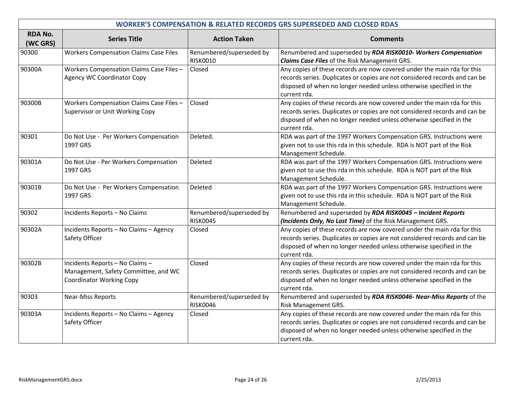| <b>WORKER'S COMPENSATION &amp; RELATED RECORDS GRS SUPERSEDED AND CLOSED RDAS</b> |                                                                                                            |                                             |                                                                                                                                                                                                                                              |  |  |  |
|-----------------------------------------------------------------------------------|------------------------------------------------------------------------------------------------------------|---------------------------------------------|----------------------------------------------------------------------------------------------------------------------------------------------------------------------------------------------------------------------------------------------|--|--|--|
| <b>RDA No.</b><br>(WC GRS)                                                        | <b>Series Title</b>                                                                                        | <b>Action Taken</b>                         | <b>Comments</b>                                                                                                                                                                                                                              |  |  |  |
| 90300                                                                             | <b>Workers Compensation Claims Case Files</b>                                                              | Renumbered/superseded by<br><b>RISK0010</b> | Renumbered and superseded by RDA RISK0010- Workers Compensation<br><b>Claims Case Files of the Risk Management GRS.</b>                                                                                                                      |  |  |  |
| 90300A                                                                            | Workers Compensation Claims Case Files -<br>Agency WC Coordinator Copy                                     | Closed                                      | Any copies of these records are now covered under the main rda for this<br>records series. Duplicates or copies are not considered records and can be<br>disposed of when no longer needed unless otherwise specified in the<br>current rda. |  |  |  |
| 90300B                                                                            | Workers Compensation Claims Case Files -<br>Supervisor or Unit Working Copy                                | Closed                                      | Any copies of these records are now covered under the main rda for this<br>records series. Duplicates or copies are not considered records and can be<br>disposed of when no longer needed unless otherwise specified in the<br>current rda. |  |  |  |
| 90301                                                                             | Do Not Use - Per Workers Compensation<br>1997 GRS                                                          | Deleted.                                    | RDA was part of the 1997 Workers Compensation GRS. Instructions were<br>given not to use this rda in this schedule. RDA is NOT part of the Risk<br>Management Schedule.                                                                      |  |  |  |
| 90301A                                                                            | Do Not Use - Per Workers Compensation<br>1997 GRS                                                          | Deleted                                     | RDA was part of the 1997 Workers Compensation GRS. Instructions were<br>given not to use this rda in this schedule. RDA is NOT part of the Risk<br>Management Schedule.                                                                      |  |  |  |
| 90301B                                                                            | Do Not Use - Per Workers Compensation<br>1997 GRS                                                          | Deleted                                     | RDA was part of the 1997 Workers Compensation GRS. Instructions were<br>given not to use this rda in this schedule. RDA is NOT part of the Risk<br>Management Schedule.                                                                      |  |  |  |
| 90302                                                                             | Incidents Reports - No Claims                                                                              | Renumbered/superseded by<br><b>RISK0045</b> | Renumbered and superseded by RDA RISK0045 - Incident Reports<br>(Incidents Only, No Lost Time) of the Risk Management GRS.                                                                                                                   |  |  |  |
| 90302A                                                                            | Incidents Reports - No Claims - Agency<br>Safety Officer                                                   | Closed                                      | Any copies of these records are now covered under the main rda for this<br>records series. Duplicates or copies are not considered records and can be<br>disposed of when no longer needed unless otherwise specified in the<br>current rda. |  |  |  |
| 90302B                                                                            | Incidents Reports - No Claims -<br>Management, Safety Committee, and WC<br><b>Coordinator Working Copy</b> | Closed                                      | Any copies of these records are now covered under the main rda for this<br>records series. Duplicates or copies are not considered records and can be<br>disposed of when no longer needed unless otherwise specified in the<br>current rda. |  |  |  |
| 90303                                                                             | <b>Near-Miss Reports</b>                                                                                   | Renumbered/superseded by<br><b>RISK0046</b> | Renumbered and superseded by RDA RISK0046- Near-Miss Reports of the<br>Risk Management GRS.                                                                                                                                                  |  |  |  |
| 90303A                                                                            | Incidents Reports - No Claims - Agency<br>Safety Officer                                                   | Closed                                      | Any copies of these records are now covered under the main rda for this<br>records series. Duplicates or copies are not considered records and can be<br>disposed of when no longer needed unless otherwise specified in the<br>current rda. |  |  |  |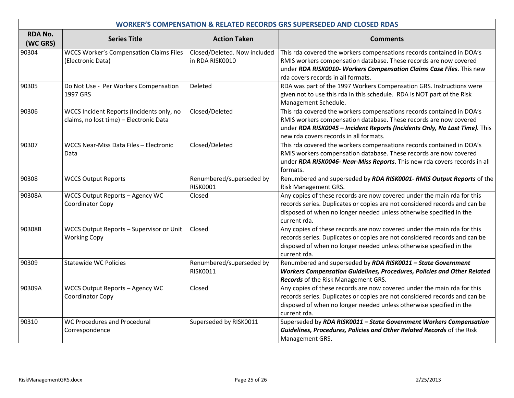| <b>WORKER'S COMPENSATION &amp; RELATED RECORDS GRS SUPERSEDED AND CLOSED RDAS</b> |                                                                                      |                                                 |                                                                                                                                                                                                                                                                    |  |  |  |
|-----------------------------------------------------------------------------------|--------------------------------------------------------------------------------------|-------------------------------------------------|--------------------------------------------------------------------------------------------------------------------------------------------------------------------------------------------------------------------------------------------------------------------|--|--|--|
| <b>RDA No.</b><br>(WC GRS)                                                        | <b>Series Title</b>                                                                  | <b>Action Taken</b>                             | <b>Comments</b>                                                                                                                                                                                                                                                    |  |  |  |
| 90304                                                                             | <b>WCCS Worker's Compensation Claims Files</b><br>(Electronic Data)                  | Closed/Deleted. Now included<br>in RDA RISK0010 | This rda covered the workers compensations records contained in DOA's<br>RMIS workers compensation database. These records are now covered<br>under RDA RISK0010- Workers Compensation Claims Case Files. This new<br>rda covers records in all formats.           |  |  |  |
| 90305                                                                             | Do Not Use - Per Workers Compensation<br>1997 GRS                                    | Deleted                                         | RDA was part of the 1997 Workers Compensation GRS. Instructions were<br>given not to use this rda in this schedule. RDA is NOT part of the Risk<br>Management Schedule.                                                                                            |  |  |  |
| 90306                                                                             | WCCS Incident Reports (Incidents only, no<br>claims, no lost time) - Electronic Data | Closed/Deleted                                  | This rda covered the workers compensations records contained in DOA's<br>RMIS workers compensation database. These records are now covered<br>under RDA RISK0045 - Incident Reports (Incidents Only, No Lost Time). This<br>new rda covers records in all formats. |  |  |  |
| 90307                                                                             | WCCS Near-Miss Data Files - Electronic<br>Data                                       | Closed/Deleted                                  | This rda covered the workers compensations records contained in DOA's<br>RMIS workers compensation database. These records are now covered<br>under RDA RISK0046- Near-Miss Reports. This new rda covers records in all<br>formats.                                |  |  |  |
| 90308                                                                             | <b>WCCS Output Reports</b>                                                           | Renumbered/superseded by<br><b>RISK0001</b>     | Renumbered and superseded by RDA RISK0001- RMIS Output Reports of the<br>Risk Management GRS.                                                                                                                                                                      |  |  |  |
| 90308A                                                                            | WCCS Output Reports - Agency WC<br>Coordinator Copy                                  | Closed                                          | Any copies of these records are now covered under the main rda for this<br>records series. Duplicates or copies are not considered records and can be<br>disposed of when no longer needed unless otherwise specified in the<br>current rda.                       |  |  |  |
| 90308B                                                                            | WCCS Output Reports - Supervisor or Unit<br><b>Working Copy</b>                      | Closed                                          | Any copies of these records are now covered under the main rda for this<br>records series. Duplicates or copies are not considered records and can be<br>disposed of when no longer needed unless otherwise specified in the<br>current rda.                       |  |  |  |
| 90309                                                                             | <b>Statewide WC Policies</b>                                                         | Renumbered/superseded by<br><b>RISK0011</b>     | Renumbered and superseded by RDA RISK0011 - State Government<br><b>Workers Compensation Guidelines, Procedures, Policies and Other Related</b><br>Records of the Risk Management GRS.                                                                              |  |  |  |
| 90309A                                                                            | WCCS Output Reports - Agency WC<br>Coordinator Copy                                  | Closed                                          | Any copies of these records are now covered under the main rda for this<br>records series. Duplicates or copies are not considered records and can be<br>disposed of when no longer needed unless otherwise specified in the<br>current rda.                       |  |  |  |
| 90310                                                                             | WC Procedures and Procedural<br>Correspondence                                       | Superseded by RISK0011                          | Superseded by RDA RISK0011 - State Government Workers Compensation<br>Guidelines, Procedures, Policies and Other Related Records of the Risk<br>Management GRS.                                                                                                    |  |  |  |